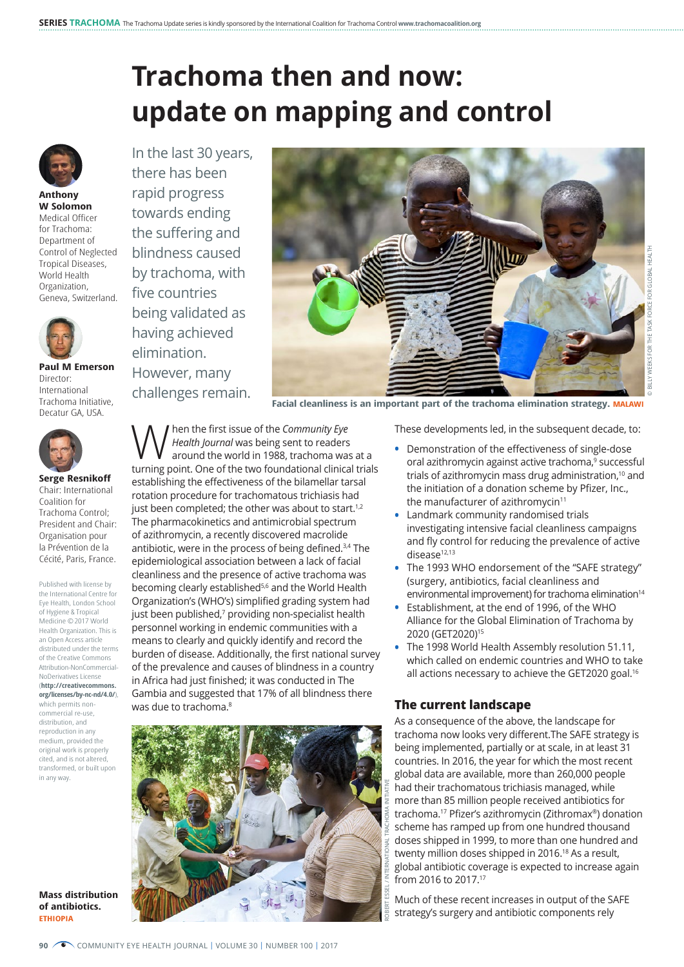## **Trachoma then and now: update on mapping and control**



**Anthony W Solomon** Medical Officer for Trachoma: Department of Control of Neglected Tropical Diseases, World Health Organization, Geneva, Switzerland.



**Paul M Emerson** Director: International Trachoma Initiative, Decatur GA, USA.



**Serge Resnikoff** Chair: International Coalition for Trachoma Control; President and Chair: Organisation pour la Prévention de la Cécité, Paris, France.

Published with license by the International Centre for Eye Health, London School of Hygiene & Tropical Medicine © 2017 World Health Organization. This is an Open Access article distributed under the terms of the Creative Commons Attribution-NonCommercial-NoDerivatives License (**[http://creativecommons.](http://creativecommons.org/licenses/by-nc-nd/4.0/) [org/licenses/by-nc-nd/4.0/](http://creativecommons.org/licenses/by-nc-nd/4.0/)**), which permits noncommercial re-use, distribution, and reproduction in any medium, provided the original work is properly cited, and is not altered, transformed, or built upon in any way.

**Mass distribution of antibiotics. ETHIOPIA**

In the last 30 years, there has been rapid progress towards ending the suffering and blindness caused by trachoma, with five countries being validated as having achieved elimination. However, many challenges remain.



**Facial cleanliness is an important part of the trachoma elimination strategy. MALAWI**

W hen the first issue of the *Community Eye*<br>
around the world in 1988, trachoma was at a<br>
turning point. One of the two foundational clinical trial *Health Journal* was being sent to readers turning point. One of the two foundational clinical trials establishing the effectiveness of the bilamellar tarsal rotation procedure for trachomatous trichiasis had just been completed; the other was about to start.<sup>1,2</sup> The pharmacokinetics and antimicrobial spectrum of azithromycin, a recently discovered macrolide antibiotic, were in the process of being defined.3,4 The epidemiological association between a lack of facial cleanliness and the presence of active trachoma was becoming clearly established<sup>5,6</sup> and the World Health Organization's (WHO's) simplified grading system had just been published,<sup>7</sup> providing non-specialist health personnel working in endemic communities with a means to clearly and quickly identify and record the burden of disease. Additionally, the first national survey of the prevalence and causes of blindness in a country in Africa had just finished; it was conducted in The Gambia and suggested that 17% of all blindness there was due to trachoma.<sup>8</sup>



These developments led, in the subsequent decade, to:

- **•** Demonstration of the effectiveness of single-dose oral azithromycin against active trachoma,<sup>9</sup> successful trials of azithromycin mass drug administration,<sup>10</sup> and the initiation of a donation scheme by Pfizer, Inc., the manufacturer of azithromycin<sup>11</sup>
- **•** Landmark community randomised trials investigating intensive facial cleanliness campaigns and fly control for reducing the prevalence of active disease<sup>12,13</sup>
- **•** The 1993 WHO endorsement of the "SAFE strategy" (surgery, antibiotics, facial cleanliness and environmental improvement) for trachoma elimination<sup>14</sup>
- **•** Establishment, at the end of 1996, of the WHO Alliance for the Global Elimination of Trachoma by 2020 (GET2020)15
- **•** The 1998 World Health Assembly resolution 51.11, which called on endemic countries and WHO to take all actions necessary to achieve the GET2020 goal.<sup>16</sup>

## **The current landscape**

As a consequence of the above, the landscape for trachoma now looks very different.The SAFE strategy is being implemented, partially or at scale, in at least 31 countries. In 2016, the year for which the most recent global data are available, more than 260,000 people had their trachomatous trichiasis managed, while more than 85 million people received antibiotics for trachoma.17 Pfizer's azithromycin (Zithromax®) donation scheme has ramped up from one hundred thousand doses shipped in 1999, to more than one hundred and twenty million doses shipped in 2016.<sup>18</sup> As a result, global antibiotic coverage is expected to increase again from 2016 to 2017.17

Much of these recent increases in output of the SAFE strategy's surgery and antibiotic components rely

**90** COMMUNITY EYE HEALTH JOURNAL | VOLUME 30 | NUMBER 100 | 2017